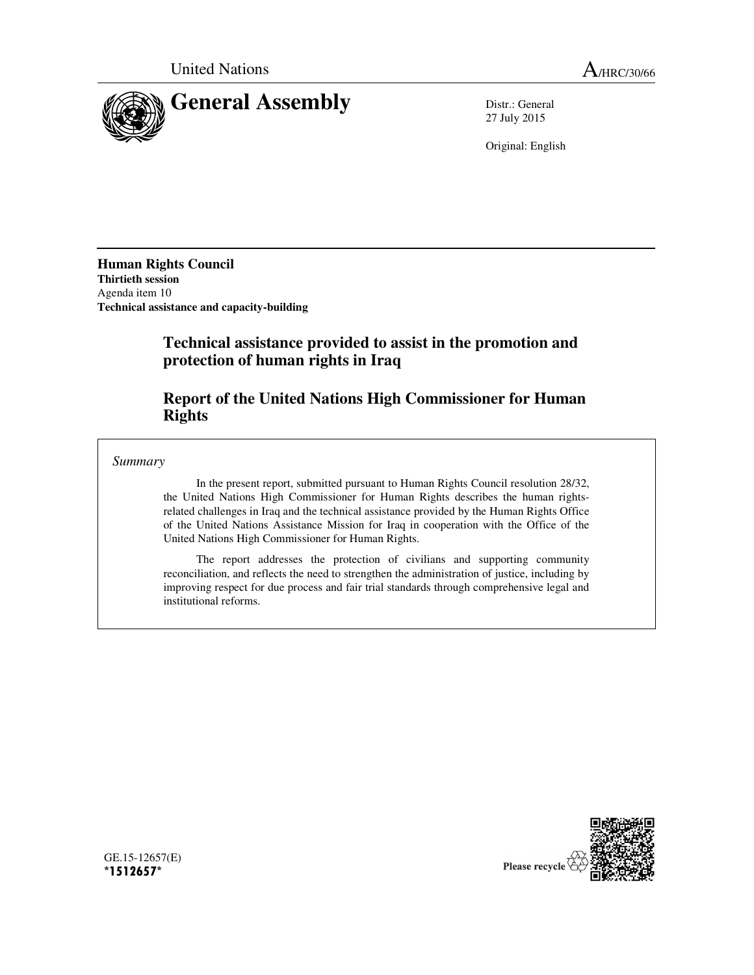

27 July 2015

Original: English

**Human Rights Council Thirtieth session**  Agenda item 10 **Technical assistance and capacity-building** 

# **Technical assistance provided to assist in the promotion and protection of human rights in Iraq**

# **Report of the United Nations High Commissioner for Human Rights**

*Summary* 

In the present report, submitted pursuant to Human Rights Council resolution 28/32, the United Nations High Commissioner for Human Rights describes the human rightsrelated challenges in Iraq and the technical assistance provided by the Human Rights Office of the United Nations Assistance Mission for Iraq in cooperation with the Office of the United Nations High Commissioner for Human Rights.

The report addresses the protection of civilians and supporting community reconciliation, and reflects the need to strengthen the administration of justice, including by improving respect for due process and fair trial standards through comprehensive legal and institutional reforms.



GE.15-12657(E) **\*1512657\***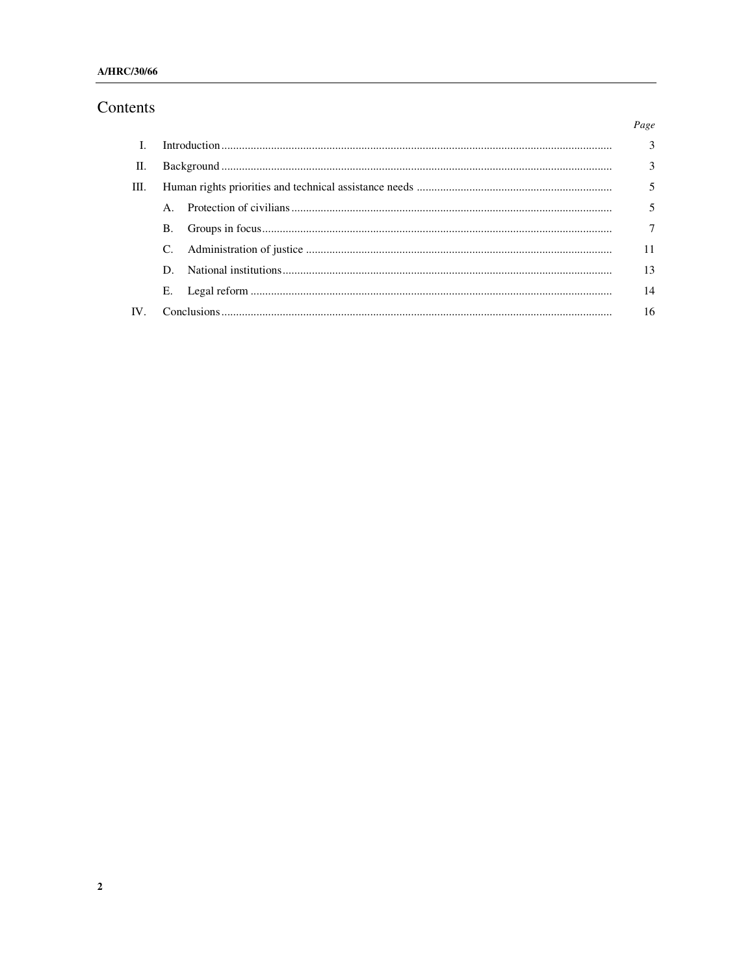# Contents

|                   |           |  | Page           |
|-------------------|-----------|--|----------------|
| - L               |           |  | $\overline{3}$ |
| П.                |           |  | 3              |
| Ш.                |           |  | 5              |
|                   |           |  | 5              |
|                   | <b>B.</b> |  | $\overline{7}$ |
|                   |           |  | 11             |
|                   | D.        |  | 13             |
|                   | Е.        |  | 14             |
| $\mathbf{IV}_{-}$ |           |  | 16             |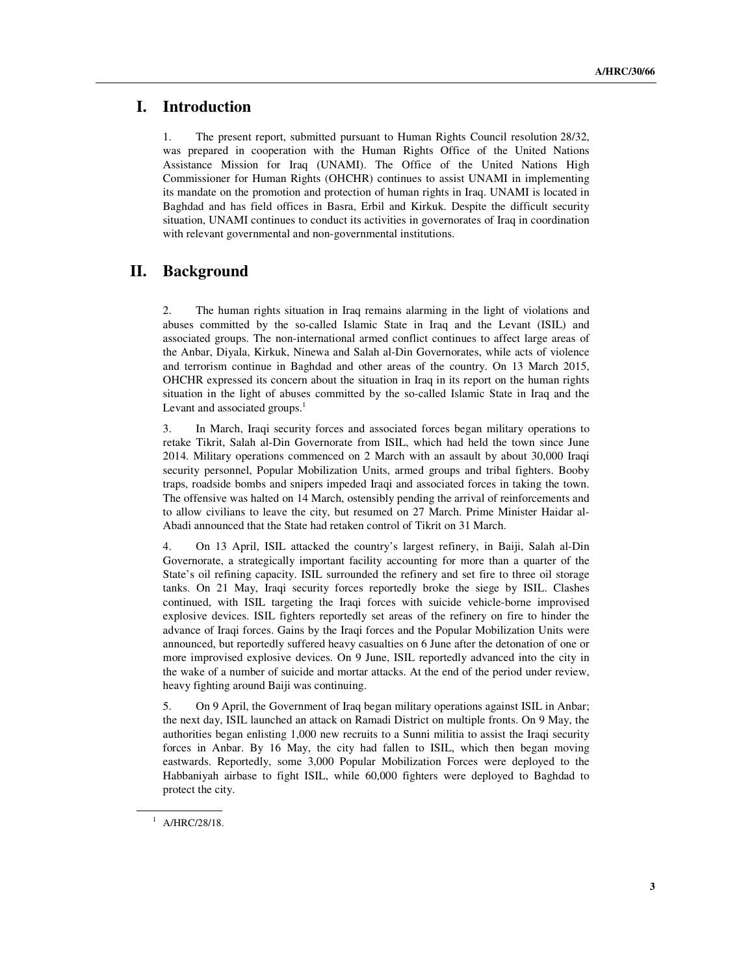# **I. Introduction**

1. The present report, submitted pursuant to Human Rights Council resolution 28/32, was prepared in cooperation with the Human Rights Office of the United Nations Assistance Mission for Iraq (UNAMI). The Office of the United Nations High Commissioner for Human Rights (OHCHR) continues to assist UNAMI in implementing its mandate on the promotion and protection of human rights in Iraq. UNAMI is located in Baghdad and has field offices in Basra, Erbil and Kirkuk. Despite the difficult security situation, UNAMI continues to conduct its activities in governorates of Iraq in coordination with relevant governmental and non-governmental institutions.

# **II. Background**

2. The human rights situation in Iraq remains alarming in the light of violations and abuses committed by the so-called Islamic State in Iraq and the Levant (ISIL) and associated groups. The non-international armed conflict continues to affect large areas of the Anbar, Diyala, Kirkuk, Ninewa and Salah al-Din Governorates, while acts of violence and terrorism continue in Baghdad and other areas of the country. On 13 March 2015, OHCHR expressed its concern about the situation in Iraq in its report on the human rights situation in the light of abuses committed by the so-called Islamic State in Iraq and the Levant and associated groups. $<sup>1</sup>$ </sup>

3. In March, Iraqi security forces and associated forces began military operations to retake Tikrit, Salah al-Din Governorate from ISIL, which had held the town since June 2014. Military operations commenced on 2 March with an assault by about 30,000 Iraqi security personnel, Popular Mobilization Units, armed groups and tribal fighters. Booby traps, roadside bombs and snipers impeded Iraqi and associated forces in taking the town. The offensive was halted on 14 March, ostensibly pending the arrival of reinforcements and to allow civilians to leave the city, but resumed on 27 March. Prime Minister Haidar al-Abadi announced that the State had retaken control of Tikrit on 31 March.

4. On 13 April, ISIL attacked the country's largest refinery, in Baiji, Salah al-Din Governorate, a strategically important facility accounting for more than a quarter of the State's oil refining capacity. ISIL surrounded the refinery and set fire to three oil storage tanks. On 21 May, Iraqi security forces reportedly broke the siege by ISIL. Clashes continued, with ISIL targeting the Iraqi forces with suicide vehicle-borne improvised explosive devices. ISIL fighters reportedly set areas of the refinery on fire to hinder the advance of Iraqi forces. Gains by the Iraqi forces and the Popular Mobilization Units were announced, but reportedly suffered heavy casualties on 6 June after the detonation of one or more improvised explosive devices. On 9 June, ISIL reportedly advanced into the city in the wake of a number of suicide and mortar attacks. At the end of the period under review, heavy fighting around Baiji was continuing.

5. On 9 April, the Government of Iraq began military operations against ISIL in Anbar; the next day, ISIL launched an attack on Ramadi District on multiple fronts. On 9 May, the authorities began enlisting 1,000 new recruits to a Sunni militia to assist the Iraqi security forces in Anbar. By 16 May, the city had fallen to ISIL, which then began moving eastwards. Reportedly, some 3,000 Popular Mobilization Forces were deployed to the Habbaniyah airbase to fight ISIL, while 60,000 fighters were deployed to Baghdad to protect the city.

ı

<sup>&</sup>lt;sup>1</sup> A/HRC/28/18.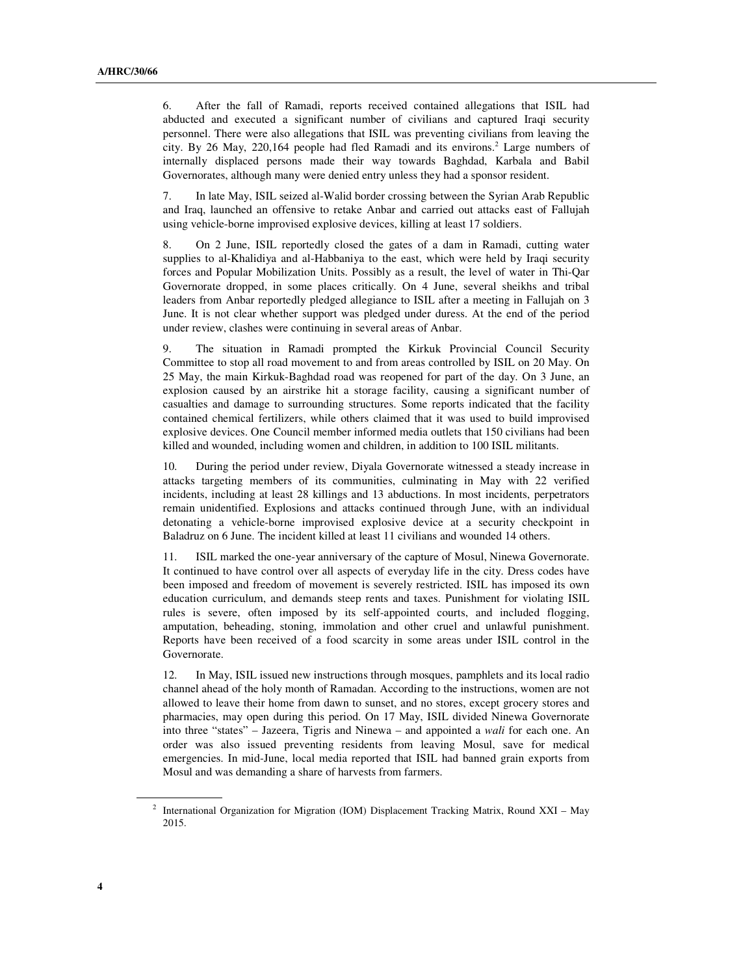6. After the fall of Ramadi, reports received contained allegations that ISIL had abducted and executed a significant number of civilians and captured Iraqi security personnel. There were also allegations that ISIL was preventing civilians from leaving the city. By 26 May, 220,164 people had fled Ramadi and its environs.<sup>2</sup> Large numbers of internally displaced persons made their way towards Baghdad, Karbala and Babil Governorates, although many were denied entry unless they had a sponsor resident.

7. In late May, ISIL seized al-Walid border crossing between the Syrian Arab Republic and Iraq, launched an offensive to retake Anbar and carried out attacks east of Fallujah using vehicle-borne improvised explosive devices, killing at least 17 soldiers.

8. On 2 June, ISIL reportedly closed the gates of a dam in Ramadi, cutting water supplies to al-Khalidiya and al-Habbaniya to the east, which were held by Iraqi security forces and Popular Mobilization Units. Possibly as a result, the level of water in Thi-Qar Governorate dropped, in some places critically. On 4 June, several sheikhs and tribal leaders from Anbar reportedly pledged allegiance to ISIL after a meeting in Fallujah on 3 June. It is not clear whether support was pledged under duress. At the end of the period under review, clashes were continuing in several areas of Anbar.

9. The situation in Ramadi prompted the Kirkuk Provincial Council Security Committee to stop all road movement to and from areas controlled by ISIL on 20 May. On 25 May, the main Kirkuk-Baghdad road was reopened for part of the day. On 3 June, an explosion caused by an airstrike hit a storage facility, causing a significant number of casualties and damage to surrounding structures. Some reports indicated that the facility contained chemical fertilizers, while others claimed that it was used to build improvised explosive devices. One Council member informed media outlets that 150 civilians had been killed and wounded, including women and children, in addition to 100 ISIL militants.

10. During the period under review, Diyala Governorate witnessed a steady increase in attacks targeting members of its communities, culminating in May with 22 verified incidents, including at least 28 killings and 13 abductions. In most incidents, perpetrators remain unidentified. Explosions and attacks continued through June, with an individual detonating a vehicle-borne improvised explosive device at a security checkpoint in Baladruz on 6 June. The incident killed at least 11 civilians and wounded 14 others.

11. ISIL marked the one-year anniversary of the capture of Mosul, Ninewa Governorate. It continued to have control over all aspects of everyday life in the city. Dress codes have been imposed and freedom of movement is severely restricted. ISIL has imposed its own education curriculum, and demands steep rents and taxes. Punishment for violating ISIL rules is severe, often imposed by its self-appointed courts, and included flogging, amputation, beheading, stoning, immolation and other cruel and unlawful punishment. Reports have been received of a food scarcity in some areas under ISIL control in the Governorate.

12. In May, ISIL issued new instructions through mosques, pamphlets and its local radio channel ahead of the holy month of Ramadan. According to the instructions, women are not allowed to leave their home from dawn to sunset, and no stores, except grocery stores and pharmacies, may open during this period. On 17 May, ISIL divided Ninewa Governorate into three "states" – Jazeera, Tigris and Ninewa – and appointed a *wali* for each one. An order was also issued preventing residents from leaving Mosul, save for medical emergencies. In mid-June, local media reported that ISIL had banned grain exports from Mosul and was demanding a share of harvests from farmers.

ı

<sup>2</sup> International Organization for Migration (IOM) Displacement Tracking Matrix, Round XXI – May 2015.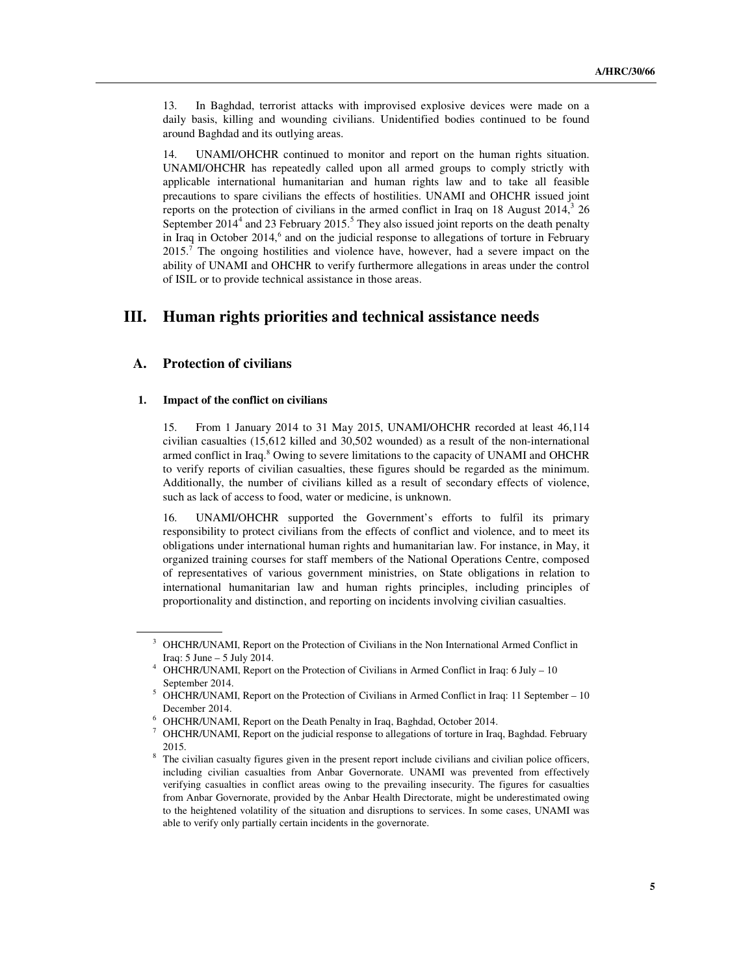13. In Baghdad, terrorist attacks with improvised explosive devices were made on a daily basis, killing and wounding civilians. Unidentified bodies continued to be found around Baghdad and its outlying areas.

14. UNAMI/OHCHR continued to monitor and report on the human rights situation. UNAMI/OHCHR has repeatedly called upon all armed groups to comply strictly with applicable international humanitarian and human rights law and to take all feasible precautions to spare civilians the effects of hostilities. UNAMI and OHCHR issued joint reports on the protection of civilians in the armed conflict in Iraq on 18 August  $2014$ ,  $326$ September  $2014<sup>4</sup>$  and 23 February 2015.<sup>5</sup> They also issued joint reports on the death penalty in Iraq in October 2014,<sup>6</sup> and on the judicial response to allegations of torture in February  $2015<sup>7</sup>$  The ongoing hostilities and violence have, however, had a severe impact on the ability of UNAMI and OHCHR to verify furthermore allegations in areas under the control of ISIL or to provide technical assistance in those areas.

# **III. Human rights priorities and technical assistance needs**

## **A. Protection of civilians**

ı

### **1. Impact of the conflict on civilians**

15. From 1 January 2014 to 31 May 2015, UNAMI/OHCHR recorded at least 46,114 civilian casualties (15,612 killed and 30,502 wounded) as a result of the non-international armed conflict in Iraq.<sup>8</sup> Owing to severe limitations to the capacity of UNAMI and OHCHR to verify reports of civilian casualties, these figures should be regarded as the minimum. Additionally, the number of civilians killed as a result of secondary effects of violence, such as lack of access to food, water or medicine, is unknown.

16. UNAMI/OHCHR supported the Government's efforts to fulfil its primary responsibility to protect civilians from the effects of conflict and violence, and to meet its obligations under international human rights and humanitarian law. For instance, in May, it organized training courses for staff members of the National Operations Centre, composed of representatives of various government ministries, on State obligations in relation to international humanitarian law and human rights principles, including principles of proportionality and distinction, and reporting on incidents involving civilian casualties.

<sup>&</sup>lt;sup>3</sup> OHCHR/UNAMI, Report on the Protection of Civilians in the Non International Armed Conflict in Iraq: 5 June – 5 July 2014.

<sup>&</sup>lt;sup>4</sup> OHCHR/UNAMI, Report on the Protection of Civilians in Armed Conflict in Iraq: 6 July – 10 September 2014.

<sup>&</sup>lt;sup>5</sup> OHCHR/UNAMI, Report on the Protection of Civilians in Armed Conflict in Iraq: 11 September – 10 December 2014.

<sup>&</sup>lt;sup>6</sup> OHCHR/UNAMI, Report on the Death Penalty in Iraq, Baghdad, October 2014.

<sup>&</sup>lt;sup>7</sup> OHCHR/UNAMI, Report on the judicial response to allegations of torture in Iraq, Baghdad. February 2015.

<sup>&</sup>lt;sup>8</sup> The civilian casualty figures given in the present report include civilians and civilian police officers, including civilian casualties from Anbar Governorate. UNAMI was prevented from effectively verifying casualties in conflict areas owing to the prevailing insecurity. The figures for casualties from Anbar Governorate, provided by the Anbar Health Directorate, might be underestimated owing to the heightened volatility of the situation and disruptions to services. In some cases, UNAMI was able to verify only partially certain incidents in the governorate.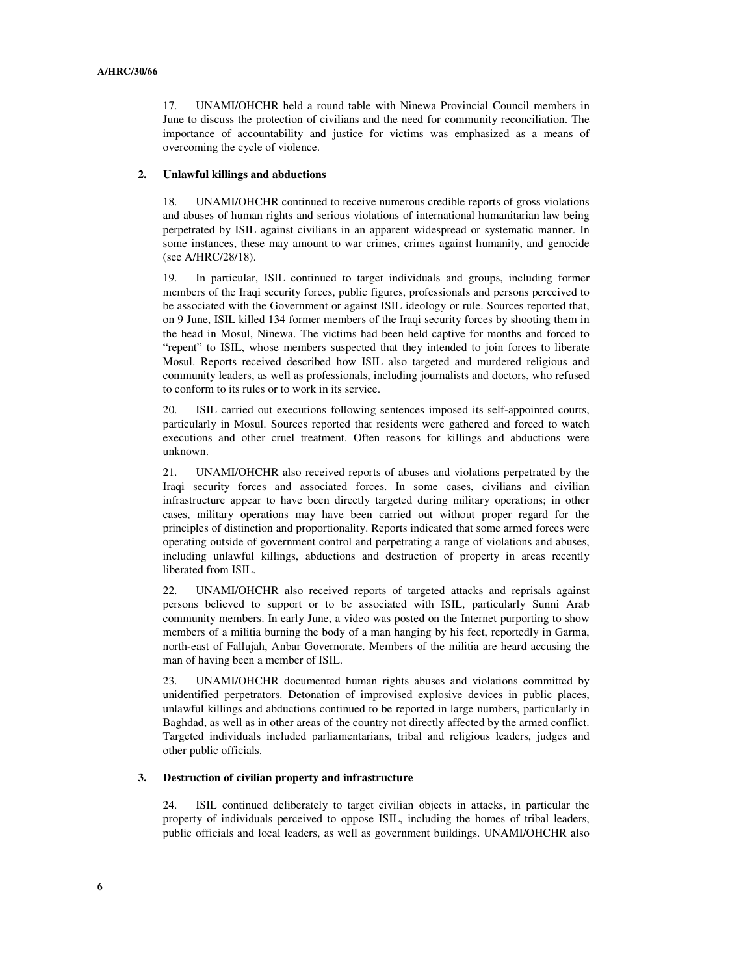17. UNAMI/OHCHR held a round table with Ninewa Provincial Council members in June to discuss the protection of civilians and the need for community reconciliation. The importance of accountability and justice for victims was emphasized as a means of overcoming the cycle of violence.

#### **2. Unlawful killings and abductions**

18. UNAMI/OHCHR continued to receive numerous credible reports of gross violations and abuses of human rights and serious violations of international humanitarian law being perpetrated by ISIL against civilians in an apparent widespread or systematic manner. In some instances, these may amount to war crimes, crimes against humanity, and genocide (see A/HRC/28/18).

19. In particular, ISIL continued to target individuals and groups, including former members of the Iraqi security forces, public figures, professionals and persons perceived to be associated with the Government or against ISIL ideology or rule. Sources reported that, on 9 June, ISIL killed 134 former members of the Iraqi security forces by shooting them in the head in Mosul, Ninewa. The victims had been held captive for months and forced to "repent" to ISIL, whose members suspected that they intended to join forces to liberate Mosul. Reports received described how ISIL also targeted and murdered religious and community leaders, as well as professionals, including journalists and doctors, who refused to conform to its rules or to work in its service.

20. ISIL carried out executions following sentences imposed its self-appointed courts, particularly in Mosul. Sources reported that residents were gathered and forced to watch executions and other cruel treatment. Often reasons for killings and abductions were unknown.

21. UNAMI/OHCHR also received reports of abuses and violations perpetrated by the Iraqi security forces and associated forces. In some cases, civilians and civilian infrastructure appear to have been directly targeted during military operations; in other cases, military operations may have been carried out without proper regard for the principles of distinction and proportionality. Reports indicated that some armed forces were operating outside of government control and perpetrating a range of violations and abuses, including unlawful killings, abductions and destruction of property in areas recently liberated from ISIL.

22. UNAMI/OHCHR also received reports of targeted attacks and reprisals against persons believed to support or to be associated with ISIL, particularly Sunni Arab community members. In early June, a video was posted on the Internet purporting to show members of a militia burning the body of a man hanging by his feet, reportedly in Garma, north-east of Fallujah, Anbar Governorate. Members of the militia are heard accusing the man of having been a member of ISIL.

23. UNAMI/OHCHR documented human rights abuses and violations committed by unidentified perpetrators. Detonation of improvised explosive devices in public places, unlawful killings and abductions continued to be reported in large numbers, particularly in Baghdad, as well as in other areas of the country not directly affected by the armed conflict. Targeted individuals included parliamentarians, tribal and religious leaders, judges and other public officials.

## **3. Destruction of civilian property and infrastructure**

24. ISIL continued deliberately to target civilian objects in attacks, in particular the property of individuals perceived to oppose ISIL, including the homes of tribal leaders, public officials and local leaders, as well as government buildings. UNAMI/OHCHR also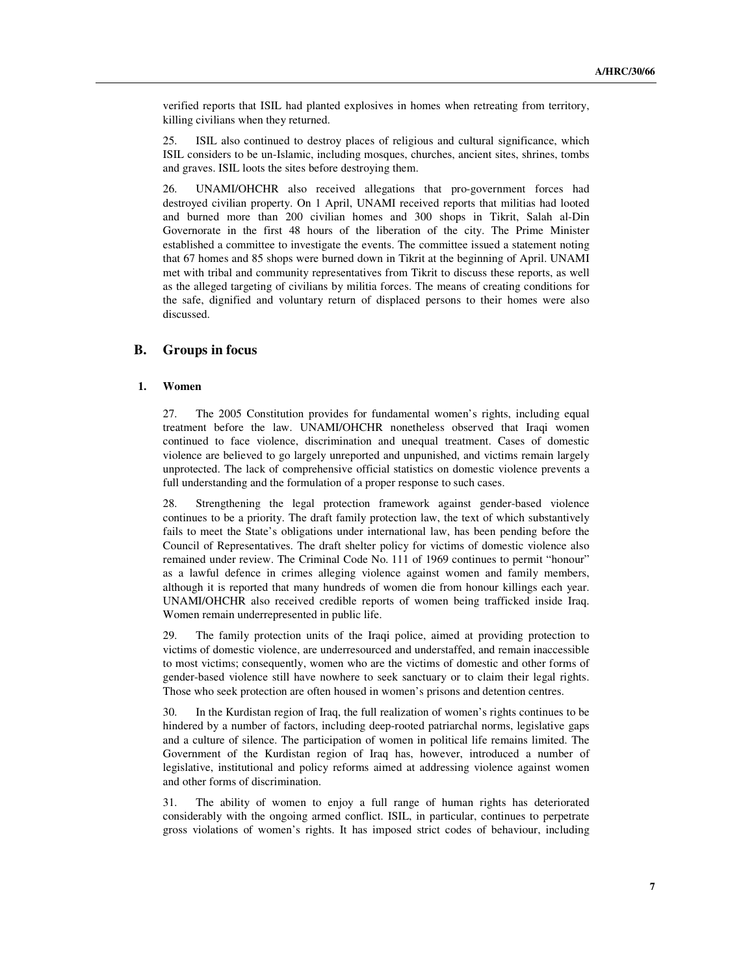verified reports that ISIL had planted explosives in homes when retreating from territory, killing civilians when they returned.

25. ISIL also continued to destroy places of religious and cultural significance, which ISIL considers to be un-Islamic, including mosques, churches, ancient sites, shrines, tombs and graves. ISIL loots the sites before destroying them.

26. UNAMI/OHCHR also received allegations that pro-government forces had destroyed civilian property. On 1 April, UNAMI received reports that militias had looted and burned more than 200 civilian homes and 300 shops in Tikrit, Salah al-Din Governorate in the first 48 hours of the liberation of the city. The Prime Minister established a committee to investigate the events. The committee issued a statement noting that 67 homes and 85 shops were burned down in Tikrit at the beginning of April. UNAMI met with tribal and community representatives from Tikrit to discuss these reports, as well as the alleged targeting of civilians by militia forces. The means of creating conditions for the safe, dignified and voluntary return of displaced persons to their homes were also discussed.

## **B. Groups in focus**

### **1. Women**

27. The 2005 Constitution provides for fundamental women's rights, including equal treatment before the law. UNAMI/OHCHR nonetheless observed that Iraqi women continued to face violence, discrimination and unequal treatment. Cases of domestic violence are believed to go largely unreported and unpunished, and victims remain largely unprotected. The lack of comprehensive official statistics on domestic violence prevents a full understanding and the formulation of a proper response to such cases.

28. Strengthening the legal protection framework against gender-based violence continues to be a priority. The draft family protection law, the text of which substantively fails to meet the State's obligations under international law, has been pending before the Council of Representatives. The draft shelter policy for victims of domestic violence also remained under review. The Criminal Code No. 111 of 1969 continues to permit "honour" as a lawful defence in crimes alleging violence against women and family members, although it is reported that many hundreds of women die from honour killings each year. UNAMI/OHCHR also received credible reports of women being trafficked inside Iraq. Women remain underrepresented in public life.

29. The family protection units of the Iraqi police, aimed at providing protection to victims of domestic violence, are underresourced and understaffed, and remain inaccessible to most victims; consequently, women who are the victims of domestic and other forms of gender-based violence still have nowhere to seek sanctuary or to claim their legal rights. Those who seek protection are often housed in women's prisons and detention centres.

30. In the Kurdistan region of Iraq, the full realization of women's rights continues to be hindered by a number of factors, including deep-rooted patriarchal norms, legislative gaps and a culture of silence. The participation of women in political life remains limited. The Government of the Kurdistan region of Iraq has, however, introduced a number of legislative, institutional and policy reforms aimed at addressing violence against women and other forms of discrimination.

31. The ability of women to enjoy a full range of human rights has deteriorated considerably with the ongoing armed conflict. ISIL, in particular, continues to perpetrate gross violations of women's rights. It has imposed strict codes of behaviour, including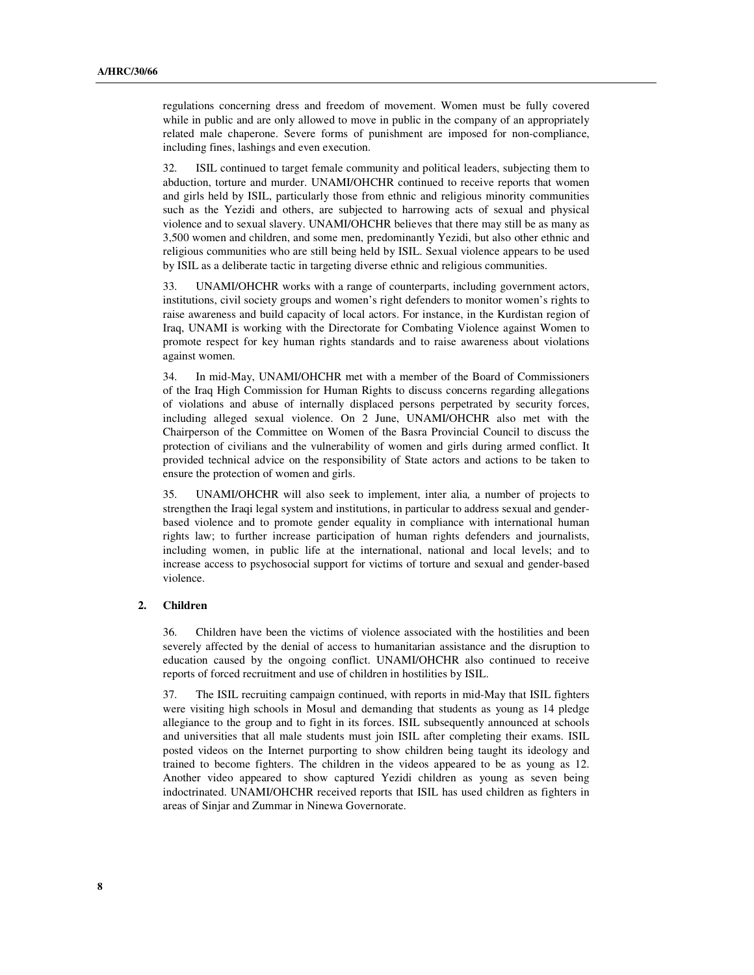regulations concerning dress and freedom of movement. Women must be fully covered while in public and are only allowed to move in public in the company of an appropriately related male chaperone. Severe forms of punishment are imposed for non-compliance, including fines, lashings and even execution.

32. ISIL continued to target female community and political leaders, subjecting them to abduction, torture and murder. UNAMI/OHCHR continued to receive reports that women and girls held by ISIL, particularly those from ethnic and religious minority communities such as the Yezidi and others, are subjected to harrowing acts of sexual and physical violence and to sexual slavery. UNAMI/OHCHR believes that there may still be as many as 3,500 women and children, and some men, predominantly Yezidi, but also other ethnic and religious communities who are still being held by ISIL. Sexual violence appears to be used by ISIL as a deliberate tactic in targeting diverse ethnic and religious communities.

33. UNAMI/OHCHR works with a range of counterparts, including government actors, institutions, civil society groups and women's right defenders to monitor women's rights to raise awareness and build capacity of local actors. For instance, in the Kurdistan region of Iraq, UNAMI is working with the Directorate for Combating Violence against Women to promote respect for key human rights standards and to raise awareness about violations against women.

34. In mid-May, UNAMI/OHCHR met with a member of the Board of Commissioners of the Iraq High Commission for Human Rights to discuss concerns regarding allegations of violations and abuse of internally displaced persons perpetrated by security forces, including alleged sexual violence. On 2 June, UNAMI/OHCHR also met with the Chairperson of the Committee on Women of the Basra Provincial Council to discuss the protection of civilians and the vulnerability of women and girls during armed conflict. It provided technical advice on the responsibility of State actors and actions to be taken to ensure the protection of women and girls.

35. UNAMI/OHCHR will also seek to implement, inter alia*,* a number of projects to strengthen the Iraqi legal system and institutions, in particular to address sexual and genderbased violence and to promote gender equality in compliance with international human rights law; to further increase participation of human rights defenders and journalists, including women, in public life at the international, national and local levels; and to increase access to psychosocial support for victims of torture and sexual and gender-based violence.

#### **2. Children**

36. Children have been the victims of violence associated with the hostilities and been severely affected by the denial of access to humanitarian assistance and the disruption to education caused by the ongoing conflict. UNAMI/OHCHR also continued to receive reports of forced recruitment and use of children in hostilities by ISIL.

37. The ISIL recruiting campaign continued, with reports in mid-May that ISIL fighters were visiting high schools in Mosul and demanding that students as young as 14 pledge allegiance to the group and to fight in its forces. ISIL subsequently announced at schools and universities that all male students must join ISIL after completing their exams. ISIL posted videos on the Internet purporting to show children being taught its ideology and trained to become fighters. The children in the videos appeared to be as young as 12. Another video appeared to show captured Yezidi children as young as seven being indoctrinated. UNAMI/OHCHR received reports that ISIL has used children as fighters in areas of Sinjar and Zummar in Ninewa Governorate.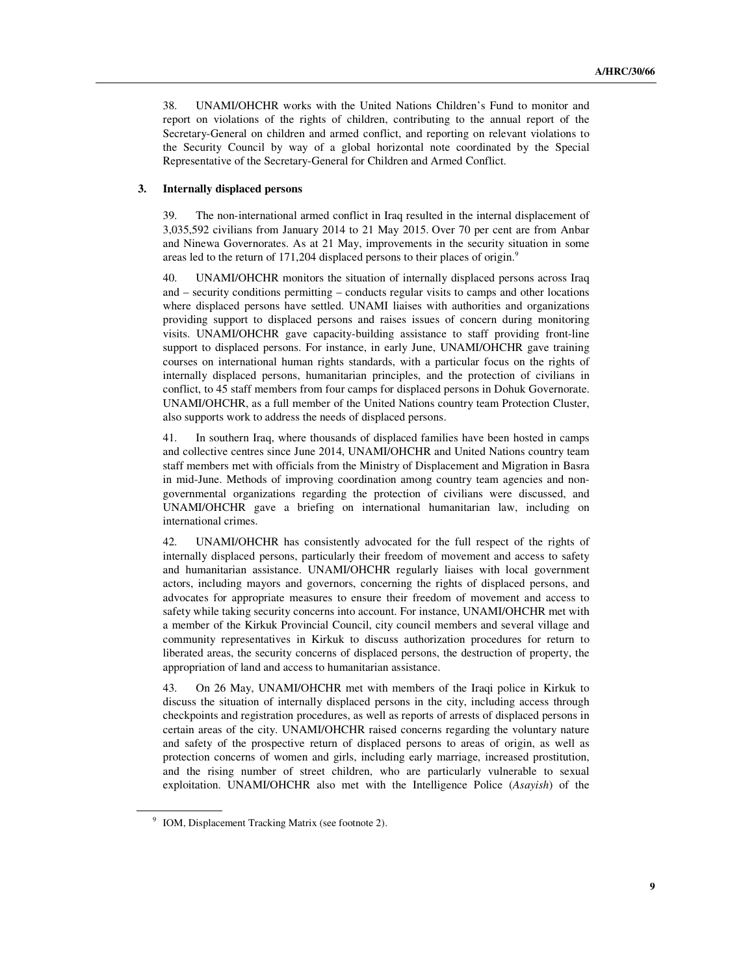38. UNAMI/OHCHR works with the United Nations Children's Fund to monitor and report on violations of the rights of children, contributing to the annual report of the Secretary-General on children and armed conflict, and reporting on relevant violations to the Security Council by way of a global horizontal note coordinated by the Special Representative of the Secretary-General for Children and Armed Conflict.

### **3. Internally displaced persons**

39. The non-international armed conflict in Iraq resulted in the internal displacement of 3,035,592 civilians from January 2014 to 21 May 2015. Over 70 per cent are from Anbar and Ninewa Governorates. As at 21 May, improvements in the security situation in some areas led to the return of 171,204 displaced persons to their places of origin.<sup>9</sup>

40. UNAMI/OHCHR monitors the situation of internally displaced persons across Iraq and – security conditions permitting – conducts regular visits to camps and other locations where displaced persons have settled. UNAMI liaises with authorities and organizations providing support to displaced persons and raises issues of concern during monitoring visits. UNAMI/OHCHR gave capacity-building assistance to staff providing front-line support to displaced persons. For instance, in early June, UNAMI/OHCHR gave training courses on international human rights standards, with a particular focus on the rights of internally displaced persons, humanitarian principles, and the protection of civilians in conflict, to 45 staff members from four camps for displaced persons in Dohuk Governorate. UNAMI/OHCHR, as a full member of the United Nations country team Protection Cluster, also supports work to address the needs of displaced persons.

41. In southern Iraq, where thousands of displaced families have been hosted in camps and collective centres since June 2014, UNAMI/OHCHR and United Nations country team staff members met with officials from the Ministry of Displacement and Migration in Basra in mid-June. Methods of improving coordination among country team agencies and nongovernmental organizations regarding the protection of civilians were discussed, and UNAMI/OHCHR gave a briefing on international humanitarian law, including on international crimes.

42. UNAMI/OHCHR has consistently advocated for the full respect of the rights of internally displaced persons, particularly their freedom of movement and access to safety and humanitarian assistance. UNAMI/OHCHR regularly liaises with local government actors, including mayors and governors, concerning the rights of displaced persons, and advocates for appropriate measures to ensure their freedom of movement and access to safety while taking security concerns into account. For instance, UNAMI/OHCHR met with a member of the Kirkuk Provincial Council, city council members and several village and community representatives in Kirkuk to discuss authorization procedures for return to liberated areas, the security concerns of displaced persons, the destruction of property, the appropriation of land and access to humanitarian assistance.

43. On 26 May, UNAMI/OHCHR met with members of the Iraqi police in Kirkuk to discuss the situation of internally displaced persons in the city, including access through checkpoints and registration procedures, as well as reports of arrests of displaced persons in certain areas of the city. UNAMI/OHCHR raised concerns regarding the voluntary nature and safety of the prospective return of displaced persons to areas of origin, as well as protection concerns of women and girls, including early marriage, increased prostitution, and the rising number of street children, who are particularly vulnerable to sexual exploitation. UNAMI/OHCHR also met with the Intelligence Police (*Asayish*) of the

ı

<sup>&</sup>lt;sup>9</sup> IOM, Displacement Tracking Matrix (see footnote 2).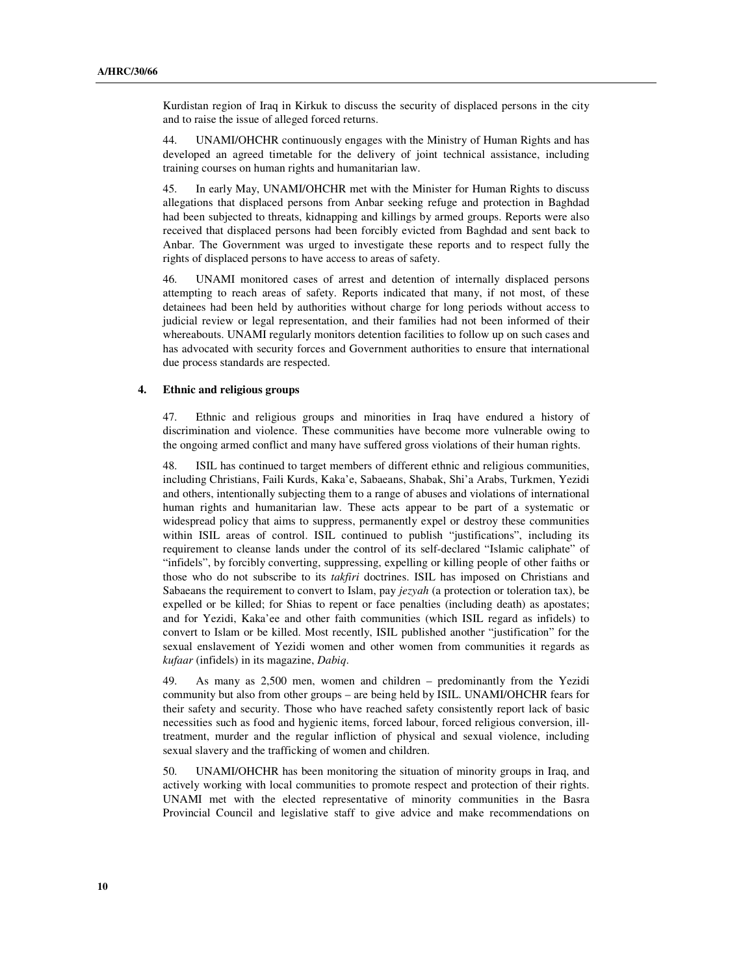Kurdistan region of Iraq in Kirkuk to discuss the security of displaced persons in the city and to raise the issue of alleged forced returns.

44. UNAMI/OHCHR continuously engages with the Ministry of Human Rights and has developed an agreed timetable for the delivery of joint technical assistance, including training courses on human rights and humanitarian law.

45. In early May, UNAMI/OHCHR met with the Minister for Human Rights to discuss allegations that displaced persons from Anbar seeking refuge and protection in Baghdad had been subjected to threats, kidnapping and killings by armed groups. Reports were also received that displaced persons had been forcibly evicted from Baghdad and sent back to Anbar. The Government was urged to investigate these reports and to respect fully the rights of displaced persons to have access to areas of safety.

46. UNAMI monitored cases of arrest and detention of internally displaced persons attempting to reach areas of safety. Reports indicated that many, if not most, of these detainees had been held by authorities without charge for long periods without access to judicial review or legal representation, and their families had not been informed of their whereabouts. UNAMI regularly monitors detention facilities to follow up on such cases and has advocated with security forces and Government authorities to ensure that international due process standards are respected.

#### **4. Ethnic and religious groups**

47. Ethnic and religious groups and minorities in Iraq have endured a history of discrimination and violence. These communities have become more vulnerable owing to the ongoing armed conflict and many have suffered gross violations of their human rights.

48. ISIL has continued to target members of different ethnic and religious communities, including Christians, Faili Kurds, Kaka'e, Sabaeans, Shabak, Shi'a Arabs, Turkmen, Yezidi and others, intentionally subjecting them to a range of abuses and violations of international human rights and humanitarian law. These acts appear to be part of a systematic or widespread policy that aims to suppress, permanently expel or destroy these communities within ISIL areas of control. ISIL continued to publish "justifications", including its requirement to cleanse lands under the control of its self-declared "Islamic caliphate" of "infidels", by forcibly converting, suppressing, expelling or killing people of other faiths or those who do not subscribe to its *takfiri* doctrines. ISIL has imposed on Christians and Sabaeans the requirement to convert to Islam, pay *jezyah* (a protection or toleration tax), be expelled or be killed; for Shias to repent or face penalties (including death) as apostates; and for Yezidi, Kaka'ee and other faith communities (which ISIL regard as infidels) to convert to Islam or be killed. Most recently, ISIL published another "justification" for the sexual enslavement of Yezidi women and other women from communities it regards as *kufaar* (infidels) in its magazine, *Dabiq*.

49. As many as 2,500 men, women and children – predominantly from the Yezidi community but also from other groups – are being held by ISIL. UNAMI/OHCHR fears for their safety and security. Those who have reached safety consistently report lack of basic necessities such as food and hygienic items, forced labour, forced religious conversion, illtreatment, murder and the regular infliction of physical and sexual violence, including sexual slavery and the trafficking of women and children.

50. UNAMI/OHCHR has been monitoring the situation of minority groups in Iraq, and actively working with local communities to promote respect and protection of their rights. UNAMI met with the elected representative of minority communities in the Basra Provincial Council and legislative staff to give advice and make recommendations on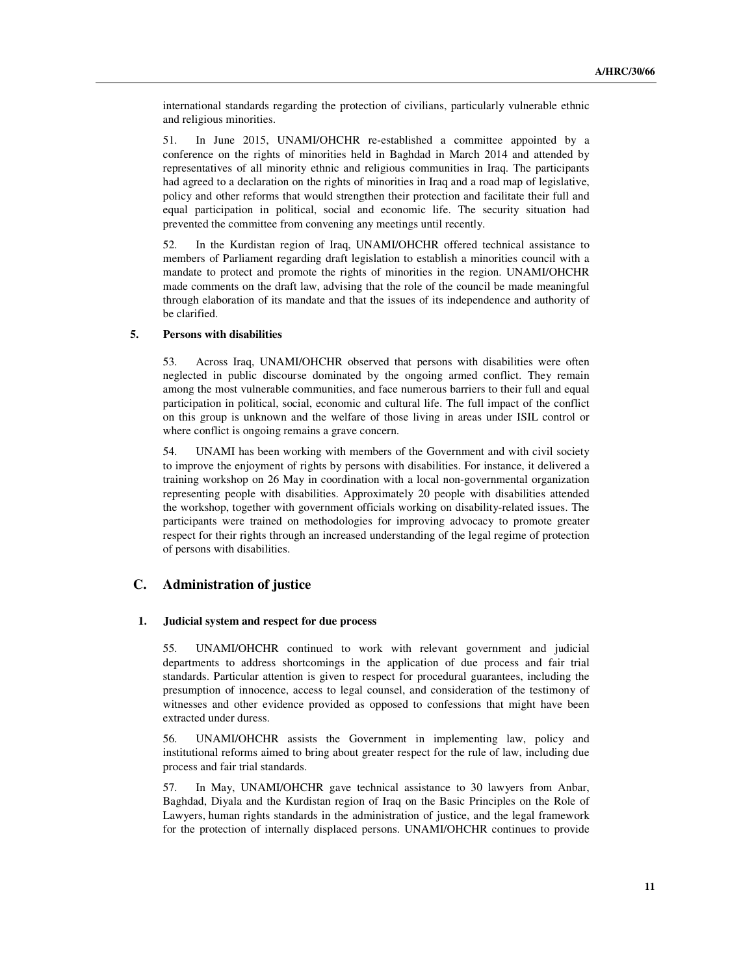international standards regarding the protection of civilians, particularly vulnerable ethnic and religious minorities.

51. In June 2015, UNAMI/OHCHR re-established a committee appointed by a conference on the rights of minorities held in Baghdad in March 2014 and attended by representatives of all minority ethnic and religious communities in Iraq. The participants had agreed to a declaration on the rights of minorities in Iraq and a road map of legislative, policy and other reforms that would strengthen their protection and facilitate their full and equal participation in political, social and economic life. The security situation had prevented the committee from convening any meetings until recently.

52. In the Kurdistan region of Iraq, UNAMI/OHCHR offered technical assistance to members of Parliament regarding draft legislation to establish a minorities council with a mandate to protect and promote the rights of minorities in the region. UNAMI/OHCHR made comments on the draft law, advising that the role of the council be made meaningful through elaboration of its mandate and that the issues of its independence and authority of be clarified.

#### **5. Persons with disabilities**

53. Across Iraq, UNAMI/OHCHR observed that persons with disabilities were often neglected in public discourse dominated by the ongoing armed conflict. They remain among the most vulnerable communities, and face numerous barriers to their full and equal participation in political, social, economic and cultural life. The full impact of the conflict on this group is unknown and the welfare of those living in areas under ISIL control or where conflict is ongoing remains a grave concern.

54. UNAMI has been working with members of the Government and with civil society to improve the enjoyment of rights by persons with disabilities. For instance, it delivered a training workshop on 26 May in coordination with a local non-governmental organization representing people with disabilities. Approximately 20 people with disabilities attended the workshop, together with government officials working on disability-related issues. The participants were trained on methodologies for improving advocacy to promote greater respect for their rights through an increased understanding of the legal regime of protection of persons with disabilities.

# **C. Administration of justice**

#### **1. Judicial system and respect for due process**

55. UNAMI/OHCHR continued to work with relevant government and judicial departments to address shortcomings in the application of due process and fair trial standards. Particular attention is given to respect for procedural guarantees, including the presumption of innocence, access to legal counsel, and consideration of the testimony of witnesses and other evidence provided as opposed to confessions that might have been extracted under duress.

56. UNAMI/OHCHR assists the Government in implementing law, policy and institutional reforms aimed to bring about greater respect for the rule of law, including due process and fair trial standards.

57. In May, UNAMI/OHCHR gave technical assistance to 30 lawyers from Anbar, Baghdad, Diyala and the Kurdistan region of Iraq on the Basic Principles on the Role of Lawyers, human rights standards in the administration of justice, and the legal framework for the protection of internally displaced persons. UNAMI/OHCHR continues to provide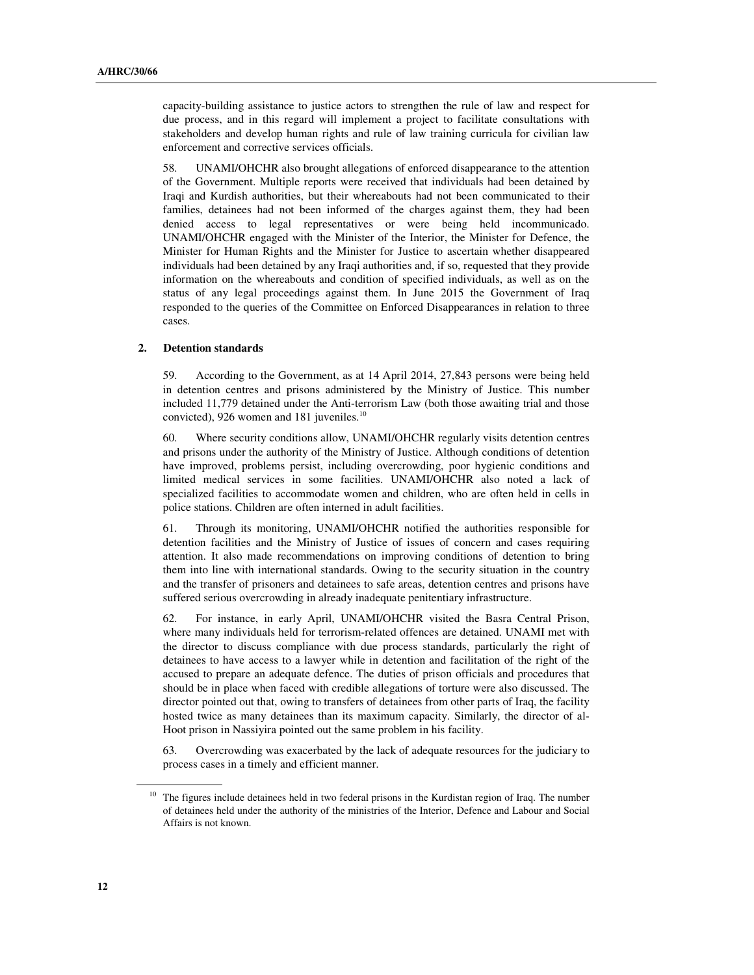capacity-building assistance to justice actors to strengthen the rule of law and respect for due process, and in this regard will implement a project to facilitate consultations with stakeholders and develop human rights and rule of law training curricula for civilian law enforcement and corrective services officials.

58. UNAMI/OHCHR also brought allegations of enforced disappearance to the attention of the Government. Multiple reports were received that individuals had been detained by Iraqi and Kurdish authorities, but their whereabouts had not been communicated to their families, detainees had not been informed of the charges against them, they had been denied access to legal representatives or were being held incommunicado. UNAMI/OHCHR engaged with the Minister of the Interior, the Minister for Defence, the Minister for Human Rights and the Minister for Justice to ascertain whether disappeared individuals had been detained by any Iraqi authorities and, if so, requested that they provide information on the whereabouts and condition of specified individuals, as well as on the status of any legal proceedings against them. In June 2015 the Government of Iraq responded to the queries of the Committee on Enforced Disappearances in relation to three cases.

### **2. Detention standards**

59. According to the Government, as at 14 April 2014, 27,843 persons were being held in detention centres and prisons administered by the Ministry of Justice. This number included 11,779 detained under the Anti-terrorism Law (both those awaiting trial and those convicted), 926 women and 181 juveniles.<sup>10</sup>

60. Where security conditions allow, UNAMI/OHCHR regularly visits detention centres and prisons under the authority of the Ministry of Justice. Although conditions of detention have improved, problems persist, including overcrowding, poor hygienic conditions and limited medical services in some facilities. UNAMI/OHCHR also noted a lack of specialized facilities to accommodate women and children, who are often held in cells in police stations. Children are often interned in adult facilities.

61. Through its monitoring, UNAMI/OHCHR notified the authorities responsible for detention facilities and the Ministry of Justice of issues of concern and cases requiring attention. It also made recommendations on improving conditions of detention to bring them into line with international standards. Owing to the security situation in the country and the transfer of prisoners and detainees to safe areas, detention centres and prisons have suffered serious overcrowding in already inadequate penitentiary infrastructure.

62. For instance, in early April, UNAMI/OHCHR visited the Basra Central Prison, where many individuals held for terrorism-related offences are detained. UNAMI met with the director to discuss compliance with due process standards, particularly the right of detainees to have access to a lawyer while in detention and facilitation of the right of the accused to prepare an adequate defence. The duties of prison officials and procedures that should be in place when faced with credible allegations of torture were also discussed. The director pointed out that, owing to transfers of detainees from other parts of Iraq, the facility hosted twice as many detainees than its maximum capacity. Similarly, the director of al-Hoot prison in Nassiyira pointed out the same problem in his facility.

63. Overcrowding was exacerbated by the lack of adequate resources for the judiciary to process cases in a timely and efficient manner.

 $\overline{a}$ 

<sup>&</sup>lt;sup>10</sup> The figures include detainees held in two federal prisons in the Kurdistan region of Iraq. The number of detainees held under the authority of the ministries of the Interior, Defence and Labour and Social Affairs is not known.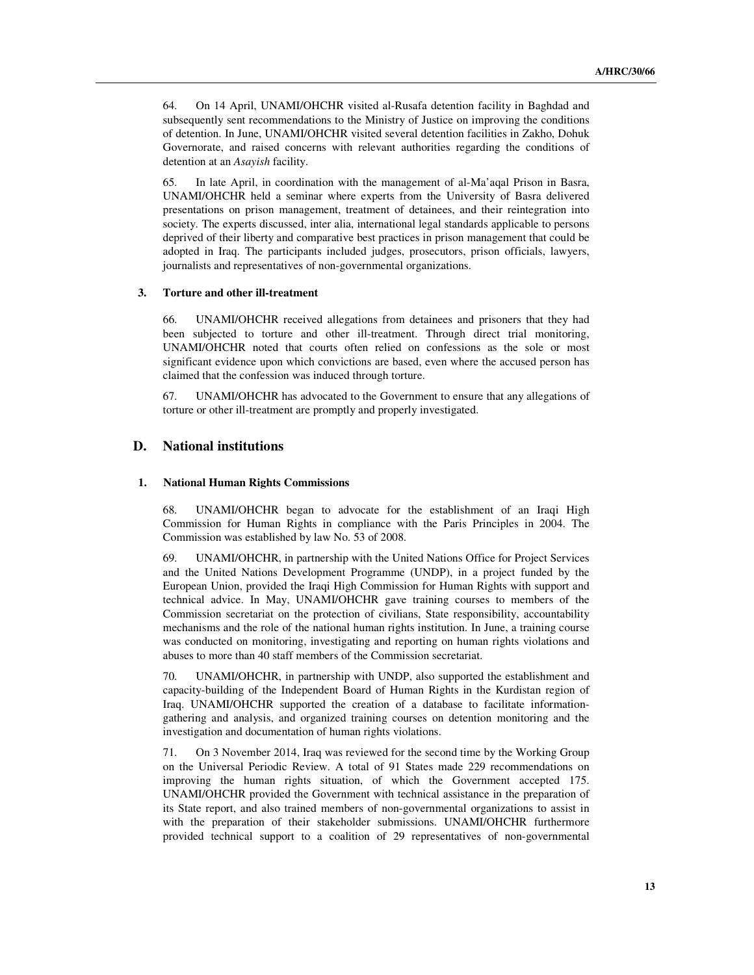64. On 14 April, UNAMI/OHCHR visited al-Rusafa detention facility in Baghdad and subsequently sent recommendations to the Ministry of Justice on improving the conditions of detention. In June, UNAMI/OHCHR visited several detention facilities in Zakho, Dohuk Governorate, and raised concerns with relevant authorities regarding the conditions of detention at an *Asayish* facility.

65. In late April, in coordination with the management of al-Ma'aqal Prison in Basra, UNAMI/OHCHR held a seminar where experts from the University of Basra delivered presentations on prison management, treatment of detainees, and their reintegration into society. The experts discussed, inter alia, international legal standards applicable to persons deprived of their liberty and comparative best practices in prison management that could be adopted in Iraq. The participants included judges, prosecutors, prison officials, lawyers, journalists and representatives of non-governmental organizations.

#### **3. Torture and other ill-treatment**

66. UNAMI/OHCHR received allegations from detainees and prisoners that they had been subjected to torture and other ill-treatment. Through direct trial monitoring, UNAMI/OHCHR noted that courts often relied on confessions as the sole or most significant evidence upon which convictions are based, even where the accused person has claimed that the confession was induced through torture.

67. UNAMI/OHCHR has advocated to the Government to ensure that any allegations of torture or other ill-treatment are promptly and properly investigated.

# **D. National institutions**

#### **1. National Human Rights Commissions**

68. UNAMI/OHCHR began to advocate for the establishment of an Iraqi High Commission for Human Rights in compliance with the Paris Principles in 2004. The Commission was established by law No. 53 of 2008.

69. UNAMI/OHCHR, in partnership with the United Nations Office for Project Services and the United Nations Development Programme (UNDP), in a project funded by the European Union, provided the Iraqi High Commission for Human Rights with support and technical advice. In May, UNAMI/OHCHR gave training courses to members of the Commission secretariat on the protection of civilians, State responsibility, accountability mechanisms and the role of the national human rights institution. In June, a training course was conducted on monitoring, investigating and reporting on human rights violations and abuses to more than 40 staff members of the Commission secretariat.

70. UNAMI/OHCHR, in partnership with UNDP, also supported the establishment and capacity-building of the Independent Board of Human Rights in the Kurdistan region of Iraq. UNAMI/OHCHR supported the creation of a database to facilitate informationgathering and analysis, and organized training courses on detention monitoring and the investigation and documentation of human rights violations.

71. On 3 November 2014, Iraq was reviewed for the second time by the Working Group on the Universal Periodic Review. A total of 91 States made 229 recommendations on improving the human rights situation, of which the Government accepted 175. UNAMI/OHCHR provided the Government with technical assistance in the preparation of its State report, and also trained members of non-governmental organizations to assist in with the preparation of their stakeholder submissions. UNAMI/OHCHR furthermore provided technical support to a coalition of 29 representatives of non-governmental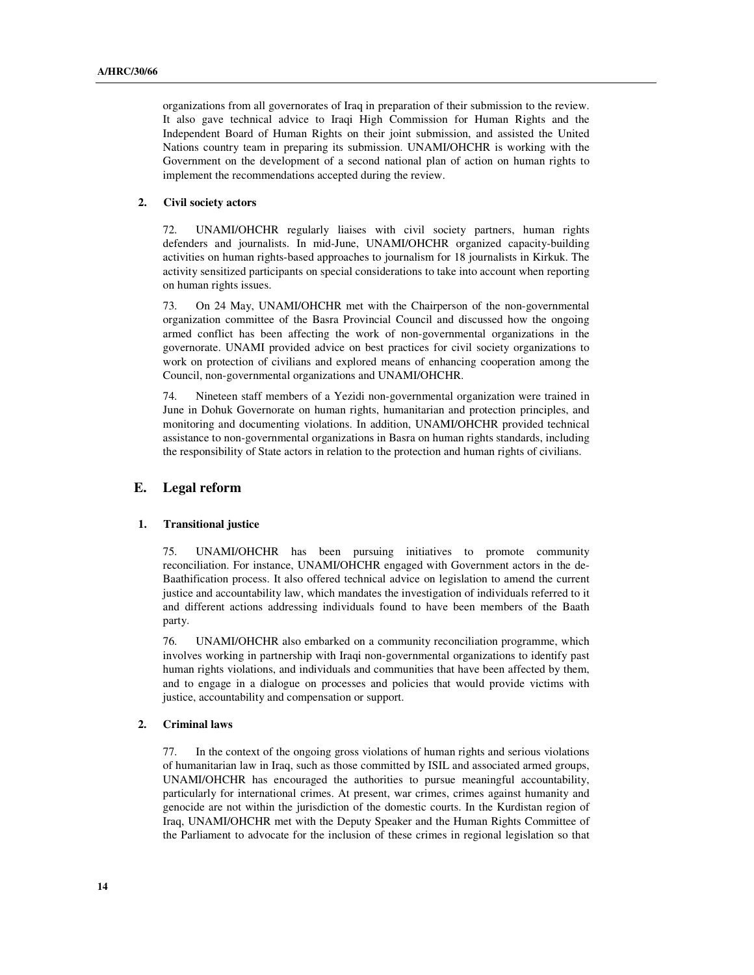organizations from all governorates of Iraq in preparation of their submission to the review. It also gave technical advice to Iraqi High Commission for Human Rights and the Independent Board of Human Rights on their joint submission, and assisted the United Nations country team in preparing its submission. UNAMI/OHCHR is working with the Government on the development of a second national plan of action on human rights to implement the recommendations accepted during the review.

## **2. Civil society actors**

72. UNAMI/OHCHR regularly liaises with civil society partners, human rights defenders and journalists. In mid-June, UNAMI/OHCHR organized capacity-building activities on human rights-based approaches to journalism for 18 journalists in Kirkuk. The activity sensitized participants on special considerations to take into account when reporting on human rights issues.

73. On 24 May, UNAMI/OHCHR met with the Chairperson of the non-governmental organization committee of the Basra Provincial Council and discussed how the ongoing armed conflict has been affecting the work of non-governmental organizations in the governorate. UNAMI provided advice on best practices for civil society organizations to work on protection of civilians and explored means of enhancing cooperation among the Council, non-governmental organizations and UNAMI/OHCHR.

74. Nineteen staff members of a Yezidi non-governmental organization were trained in June in Dohuk Governorate on human rights, humanitarian and protection principles, and monitoring and documenting violations. In addition, UNAMI/OHCHR provided technical assistance to non-governmental organizations in Basra on human rights standards, including the responsibility of State actors in relation to the protection and human rights of civilians.

# **E. Legal reform**

#### **1. Transitional justice**

75. UNAMI/OHCHR has been pursuing initiatives to promote community reconciliation. For instance, UNAMI/OHCHR engaged with Government actors in the de-Baathification process. It also offered technical advice on legislation to amend the current justice and accountability law, which mandates the investigation of individuals referred to it and different actions addressing individuals found to have been members of the Baath party.

76. UNAMI/OHCHR also embarked on a community reconciliation programme, which involves working in partnership with Iraqi non-governmental organizations to identify past human rights violations, and individuals and communities that have been affected by them, and to engage in a dialogue on processes and policies that would provide victims with justice, accountability and compensation or support.

### **2. Criminal laws**

77. In the context of the ongoing gross violations of human rights and serious violations of humanitarian law in Iraq, such as those committed by ISIL and associated armed groups, UNAMI/OHCHR has encouraged the authorities to pursue meaningful accountability, particularly for international crimes. At present, war crimes, crimes against humanity and genocide are not within the jurisdiction of the domestic courts. In the Kurdistan region of Iraq, UNAMI/OHCHR met with the Deputy Speaker and the Human Rights Committee of the Parliament to advocate for the inclusion of these crimes in regional legislation so that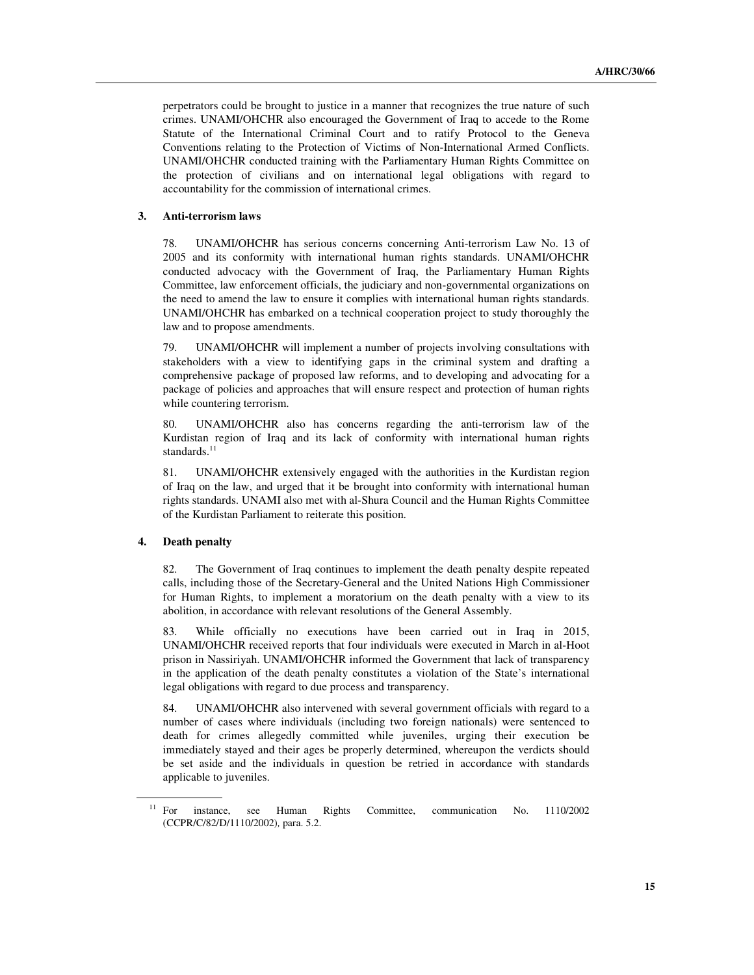perpetrators could be brought to justice in a manner that recognizes the true nature of such crimes. UNAMI/OHCHR also encouraged the Government of Iraq to accede to the Rome Statute of the International Criminal Court and to ratify Protocol to the Geneva Conventions relating to the Protection of Victims of Non-International Armed Conflicts. UNAMI/OHCHR conducted training with the Parliamentary Human Rights Committee on the protection of civilians and on international legal obligations with regard to accountability for the commission of international crimes.

#### **3. Anti-terrorism laws**

78. UNAMI/OHCHR has serious concerns concerning Anti-terrorism Law No. 13 of 2005 and its conformity with international human rights standards. UNAMI/OHCHR conducted advocacy with the Government of Iraq, the Parliamentary Human Rights Committee, law enforcement officials, the judiciary and non-governmental organizations on the need to amend the law to ensure it complies with international human rights standards. UNAMI/OHCHR has embarked on a technical cooperation project to study thoroughly the law and to propose amendments.

79. UNAMI/OHCHR will implement a number of projects involving consultations with stakeholders with a view to identifying gaps in the criminal system and drafting a comprehensive package of proposed law reforms, and to developing and advocating for a package of policies and approaches that will ensure respect and protection of human rights while countering terrorism.

80. UNAMI/OHCHR also has concerns regarding the anti-terrorism law of the Kurdistan region of Iraq and its lack of conformity with international human rights standards. $11$ 

81. UNAMI/OHCHR extensively engaged with the authorities in the Kurdistan region of Iraq on the law, and urged that it be brought into conformity with international human rights standards. UNAMI also met with al-Shura Council and the Human Rights Committee of the Kurdistan Parliament to reiterate this position.

#### **4. Death penalty**

ı

82. The Government of Iraq continues to implement the death penalty despite repeated calls, including those of the Secretary-General and the United Nations High Commissioner for Human Rights, to implement a moratorium on the death penalty with a view to its abolition, in accordance with relevant resolutions of the General Assembly.

83. While officially no executions have been carried out in Iraq in 2015, UNAMI/OHCHR received reports that four individuals were executed in March in al-Hoot prison in Nassiriyah. UNAMI/OHCHR informed the Government that lack of transparency in the application of the death penalty constitutes a violation of the State's international legal obligations with regard to due process and transparency.

84. UNAMI/OHCHR also intervened with several government officials with regard to a number of cases where individuals (including two foreign nationals) were sentenced to death for crimes allegedly committed while juveniles, urging their execution be immediately stayed and their ages be properly determined, whereupon the verdicts should be set aside and the individuals in question be retried in accordance with standards applicable to juveniles.

<sup>&</sup>lt;sup>11</sup> For instance, see Human Rights Committee, communication No. 1110/2002 (CCPR/C/82/D/1110/2002)*,* para. 5.2.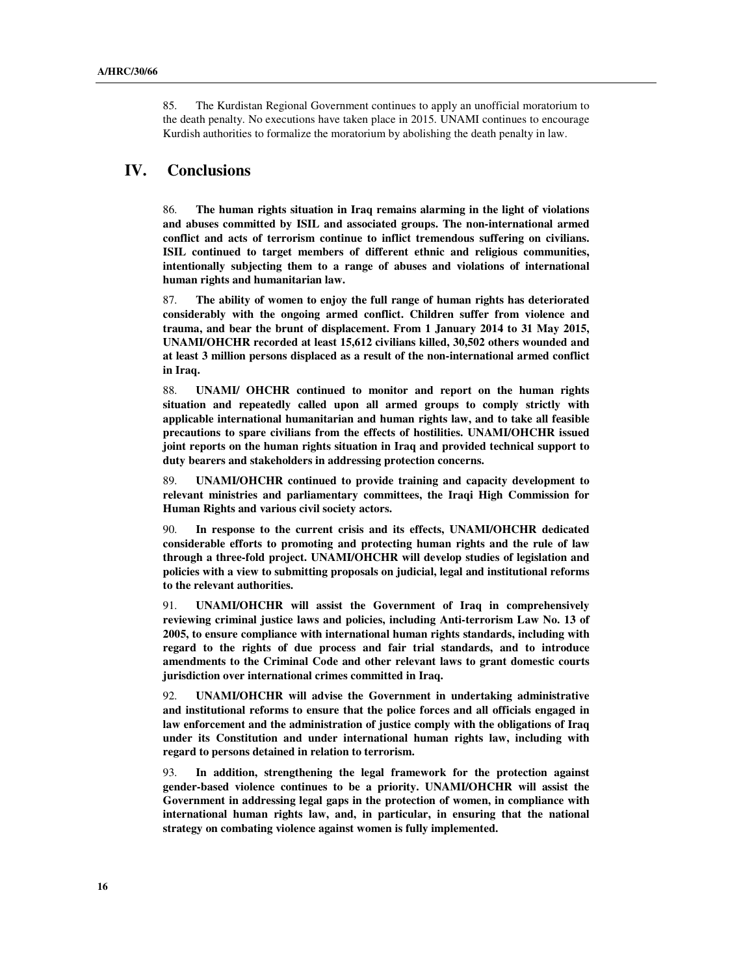85. The Kurdistan Regional Government continues to apply an unofficial moratorium to the death penalty. No executions have taken place in 2015. UNAMI continues to encourage Kurdish authorities to formalize the moratorium by abolishing the death penalty in law.

# **IV. Conclusions**

86. **The human rights situation in Iraq remains alarming in the light of violations and abuses committed by ISIL and associated groups. The non-international armed conflict and acts of terrorism continue to inflict tremendous suffering on civilians. ISIL continued to target members of different ethnic and religious communities, intentionally subjecting them to a range of abuses and violations of international human rights and humanitarian law.** 

87. **The ability of women to enjoy the full range of human rights has deteriorated considerably with the ongoing armed conflict. Children suffer from violence and trauma, and bear the brunt of displacement. From 1 January 2014 to 31 May 2015, UNAMI/OHCHR recorded at least 15,612 civilians killed, 30,502 others wounded and at least 3 million persons displaced as a result of the non-international armed conflict in Iraq.** 

88. **UNAMI/ OHCHR continued to monitor and report on the human rights situation and repeatedly called upon all armed groups to comply strictly with applicable international humanitarian and human rights law, and to take all feasible precautions to spare civilians from the effects of hostilities. UNAMI/OHCHR issued joint reports on the human rights situation in Iraq and provided technical support to duty bearers and stakeholders in addressing protection concerns.** 

89. **UNAMI/OHCHR continued to provide training and capacity development to relevant ministries and parliamentary committees, the Iraqi High Commission for Human Rights and various civil society actors.** 

90. **In response to the current crisis and its effects, UNAMI/OHCHR dedicated considerable efforts to promoting and protecting human rights and the rule of law through a three-fold project. UNAMI/OHCHR will develop studies of legislation and policies with a view to submitting proposals on judicial, legal and institutional reforms to the relevant authorities.** 

91. **UNAMI/OHCHR will assist the Government of Iraq in comprehensively reviewing criminal justice laws and policies, including Anti-terrorism Law No. 13 of 2005, to ensure compliance with international human rights standards, including with regard to the rights of due process and fair trial standards, and to introduce amendments to the Criminal Code and other relevant laws to grant domestic courts jurisdiction over international crimes committed in Iraq.** 

92. **UNAMI/OHCHR will advise the Government in undertaking administrative and institutional reforms to ensure that the police forces and all officials engaged in law enforcement and the administration of justice comply with the obligations of Iraq under its Constitution and under international human rights law, including with regard to persons detained in relation to terrorism.** 

93. **In addition, strengthening the legal framework for the protection against gender-based violence continues to be a priority. UNAMI/OHCHR will assist the Government in addressing legal gaps in the protection of women, in compliance with international human rights law, and, in particular, in ensuring that the national strategy on combating violence against women is fully implemented.**